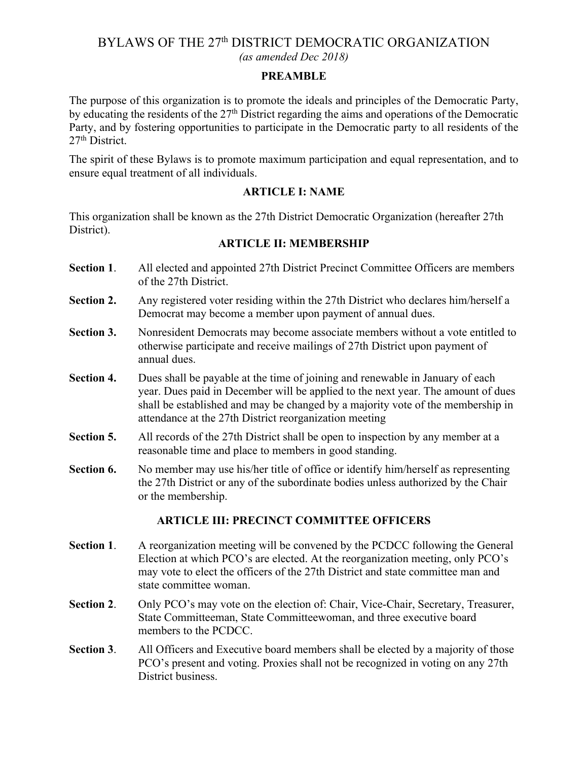# BYLAWS OF THE 27<sup>th</sup> DISTRICT DEMOCRATIC ORGANIZATION *(as amended Dec 2018)*

#### **PREAMBLE**

The purpose of this organization is to promote the ideals and principles of the Democratic Party, by educating the residents of the 27<sup>th</sup> District regarding the aims and operations of the Democratic Party, and by fostering opportunities to participate in the Democratic party to all residents of the 27<sup>th</sup> District.

The spirit of these Bylaws is to promote maximum participation and equal representation, and to ensure equal treatment of all individuals.

### **ARTICLE I: NAME**

This organization shall be known as the 27th District Democratic Organization (hereafter 27th District).

### **ARTICLE II: MEMBERSHIP**

- **Section 1**. All elected and appointed 27th District Precinct Committee Officers are members of the 27th District.
- **Section 2.** Any registered voter residing within the 27th District who declares him/herself a Democrat may become a member upon payment of annual dues.
- **Section 3.** Nonresident Democrats may become associate members without a vote entitled to otherwise participate and receive mailings of 27th District upon payment of annual dues.
- **Section 4.** Dues shall be payable at the time of joining and renewable in January of each year. Dues paid in December will be applied to the next year. The amount of dues shall be established and may be changed by a majority vote of the membership in attendance at the 27th District reorganization meeting
- **Section 5.** All records of the 27th District shall be open to inspection by any member at a reasonable time and place to members in good standing.
- **Section 6.** No member may use his/her title of office or identify him/herself as representing the 27th District or any of the subordinate bodies unless authorized by the Chair or the membership.

# **ARTICLE III: PRECINCT COMMITTEE OFFICERS**

- **Section 1.** A reorganization meeting will be convened by the PCDCC following the General Election at which PCO's are elected. At the reorganization meeting, only PCO's may vote to elect the officers of the 27th District and state committee man and state committee woman.
- **Section 2**. Only PCO's may vote on the election of: Chair, Vice-Chair, Secretary, Treasurer, State Committeeman, State Committeewoman, and three executive board members to the PCDCC.
- **Section 3**. All Officers and Executive board members shall be elected by a majority of those PCO's present and voting. Proxies shall not be recognized in voting on any 27th District business.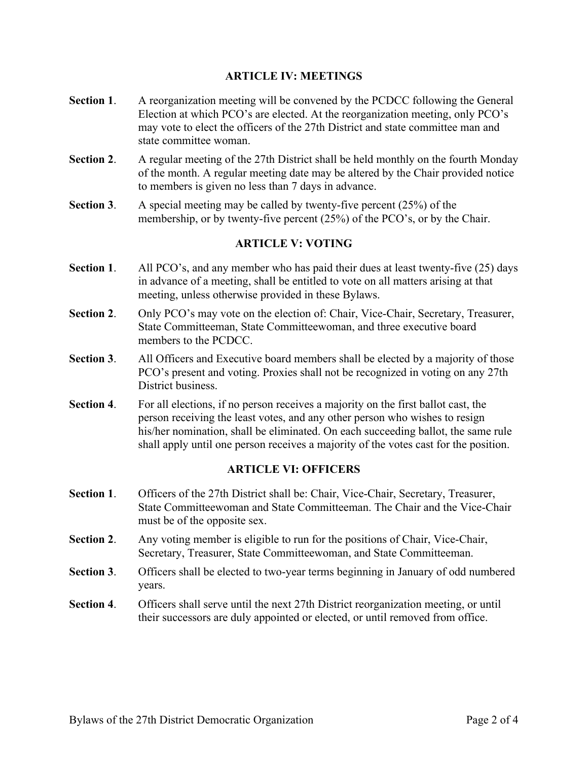### **ARTICLE IV: MEETINGS**

- **Section 1.** A reorganization meeting will be convened by the PCDCC following the General Election at which PCO's are elected. At the reorganization meeting, only PCO's may vote to elect the officers of the 27th District and state committee man and state committee woman.
- **Section 2.** A regular meeting of the 27th District shall be held monthly on the fourth Monday of the month. A regular meeting date may be altered by the Chair provided notice to members is given no less than 7 days in advance.
- **Section 3**. A special meeting may be called by twenty-five percent (25%) of the membership, or by twenty-five percent (25%) of the PCO's, or by the Chair.

### **ARTICLE V: VOTING**

- **Section 1**. All PCO's, and any member who has paid their dues at least twenty-five (25) days in advance of a meeting, shall be entitled to vote on all matters arising at that meeting, unless otherwise provided in these Bylaws.
- **Section 2**. Only PCO's may vote on the election of: Chair, Vice-Chair, Secretary, Treasurer, State Committeeman, State Committeewoman, and three executive board members to the PCDCC.
- **Section 3.** All Officers and Executive board members shall be elected by a majority of those PCO's present and voting. Proxies shall not be recognized in voting on any 27th District business.
- **Section 4.** For all elections, if no person receives a majority on the first ballot cast, the person receiving the least votes, and any other person who wishes to resign his/her nomination, shall be eliminated. On each succeeding ballot, the same rule shall apply until one person receives a majority of the votes cast for the position.

### **ARTICLE VI: OFFICERS**

- Section 1. Officers of the 27th District shall be: Chair, Vice-Chair, Secretary, Treasurer, State Committeewoman and State Committeeman. The Chair and the Vice-Chair must be of the opposite sex.
- **Section 2**. Any voting member is eligible to run for the positions of Chair, Vice-Chair, Secretary, Treasurer, State Committeewoman, and State Committeeman.
- **Section 3**. Officers shall be elected to two-year terms beginning in January of odd numbered years.
- **Section 4**. Officers shall serve until the next 27th District reorganization meeting, or until their successors are duly appointed or elected, or until removed from office.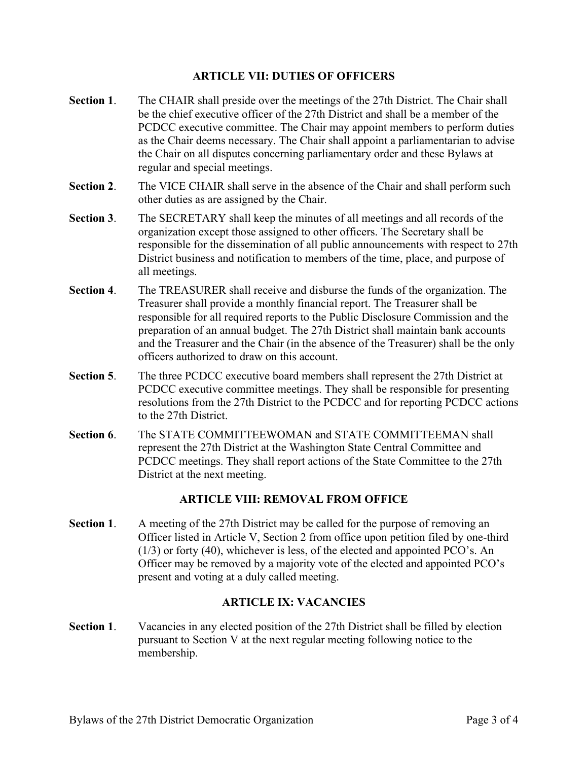### **ARTICLE VII: DUTIES OF OFFICERS**

- **Section 1**. The CHAIR shall preside over the meetings of the 27th District. The Chair shall be the chief executive officer of the 27th District and shall be a member of the PCDCC executive committee. The Chair may appoint members to perform duties as the Chair deems necessary. The Chair shall appoint a parliamentarian to advise the Chair on all disputes concerning parliamentary order and these Bylaws at regular and special meetings.
- **Section 2**. The VICE CHAIR shall serve in the absence of the Chair and shall perform such other duties as are assigned by the Chair.
- **Section 3**. The SECRETARY shall keep the minutes of all meetings and all records of the organization except those assigned to other officers. The Secretary shall be responsible for the dissemination of all public announcements with respect to 27th District business and notification to members of the time, place, and purpose of all meetings.
- **Section 4**. The TREASURER shall receive and disburse the funds of the organization. The Treasurer shall provide a monthly financial report. The Treasurer shall be responsible for all required reports to the Public Disclosure Commission and the preparation of an annual budget. The 27th District shall maintain bank accounts and the Treasurer and the Chair (in the absence of the Treasurer) shall be the only officers authorized to draw on this account.
- **Section 5**. The three PCDCC executive board members shall represent the 27th District at PCDCC executive committee meetings. They shall be responsible for presenting resolutions from the 27th District to the PCDCC and for reporting PCDCC actions to the 27th District.
- **Section 6**. The STATE COMMITTEEWOMAN and STATE COMMITTEEMAN shall represent the 27th District at the Washington State Central Committee and PCDCC meetings. They shall report actions of the State Committee to the 27th District at the next meeting.

# **ARTICLE VIII: REMOVAL FROM OFFICE**

**Section 1.** A meeting of the 27th District may be called for the purpose of removing an Officer listed in Article V, Section 2 from office upon petition filed by one-third (1/3) or forty (40), whichever is less, of the elected and appointed PCO's. An Officer may be removed by a majority vote of the elected and appointed PCO's present and voting at a duly called meeting.

# **ARTICLE IX: VACANCIES**

**Section 1.** Vacancies in any elected position of the 27th District shall be filled by election pursuant to Section V at the next regular meeting following notice to the membership.